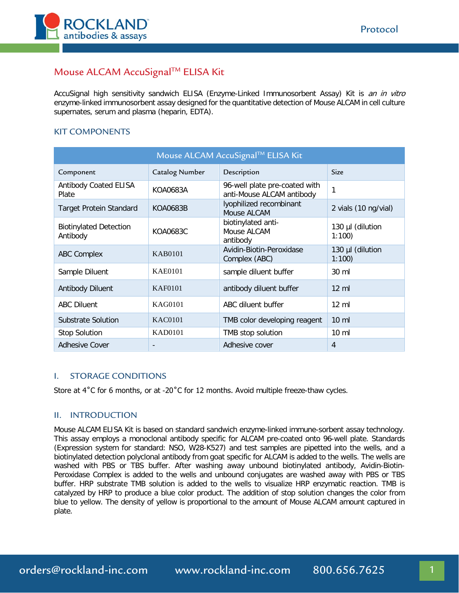

# Mouse ALCAM AccuSignal™ ELISA Kit

AccuSignal high sensitivity sandwich ELISA (Enzyme-Linked Immunosorbent Assay) Kit is an in vitro enzyme-linked immunosorbent assay designed for the quantitative detection of Mouse ALCAM in cell culture supernates, serum and plasma (heparin, EDTA).

## KIT COMPONENTS

| Mouse ALCAM AccuSignal™ ELISA Kit         |                |                                                            |                           |
|-------------------------------------------|----------------|------------------------------------------------------------|---------------------------|
| Component                                 | Catalog Number | Description                                                | <b>Size</b>               |
| <b>Antibody Coated ELISA</b><br>Plate     | KOA0683A       | 96-well plate pre-coated with<br>anti-Mouse ALCAM antibody | 1                         |
| <b>Target Protein Standard</b>            | KOA0683B       | lyophilized recombinant<br>Mouse ALCAM                     | 2 vials (10 ng/vial)      |
| <b>Biotinylated Detection</b><br>Antibody | KOA0683C       | biotinylated anti-<br>Mouse ALCAM<br>antibody              | 130 µl (dilution<br>1:100 |
| <b>ABC Complex</b>                        | KAB0101        | Avidin-Biotin-Peroxidase<br>Complex (ABC)                  | 130 µl (dilution<br>1:100 |
| Sample Diluent                            | <b>KAE0101</b> | sample diluent buffer                                      | 30 ml                     |
| Antibody Diluent                          | KAF0101        | antibody diluent buffer                                    | $12 \text{ ml}$           |
| <b>ABC Diluent</b>                        | <b>KAG0101</b> | ABC diluent buffer                                         | $12 \text{ ml}$           |
| Substrate Solution                        | <b>KAC0101</b> | TMB color developing reagent                               | $10 \text{ ml}$           |
| <b>Stop Solution</b>                      | <b>KAD0101</b> | TMB stop solution                                          | $10 \mathrm{m}$           |
| <b>Adhesive Cover</b>                     |                | Adhesive cover                                             | 4                         |

### I. STORAGE CONDITIONS

Store at  $4^{\circ}$ C for 6 months, or at -20 $^{\circ}$ C for 12 months. Avoid multiple freeze-thaw cycles.

#### II. INTRODUCTION

Mouse ALCAM ELISA Kit is based on standard sandwich enzyme-linked immune-sorbent assay technology. This assay employs a monoclonal antibody specific for ALCAM pre-coated onto 96-well plate. Standards (Expression system for standard: NSO, W28-K527) and test samples are pipetted into the wells, and a biotinylated detection polyclonal antibody from goat specific for ALCAM is added to the wells. The wells are washed with PBS or TBS buffer. After washing away unbound biotinylated antibody, Avidin-Biotin-Peroxidase Complex is added to the wells and unbound conjugates are washed away with PBS or TBS buffer. HRP substrate TMB solution is added to the wells to visualize HRP enzymatic reaction. TMB is catalyzed by HRP to produce a blue color product. The addition of stop solution changes the color from blue to yellow. The density of yellow is proportional to the amount of Mouse ALCAM amount captured in plate.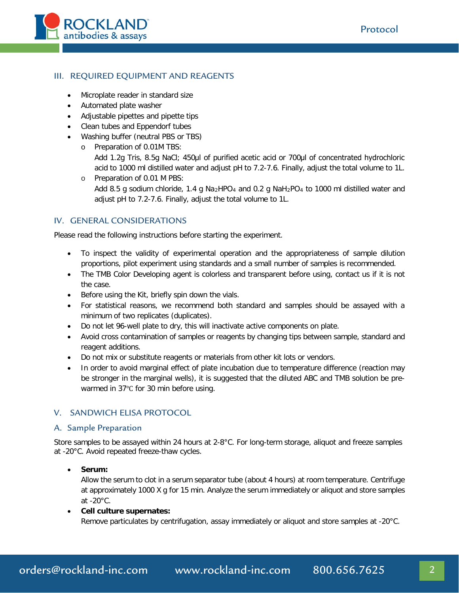

## III. REQUIRED EQUIPMENT AND REAGENTS

- Microplate reader in standard size
- Automated plate washer
- Adjustable pipettes and pipette tips
- Clean tubes and Eppendorf tubes
- Washing buffer (neutral PBS or TBS)
	- o Preparation of 0.01M TBS:
		- Add 1.2g Tris, 8.5g NaCl; 450μl of purified acetic acid or 700μl of concentrated hydrochloric acid to 1000 ml distilled water and adjust pH to 7.2-7.6. Finally, adjust the total volume to 1L.
	- o Preparation of 0.01 M PBS: Add 8.5 g sodium chloride, 1.4 g Na<sub>2</sub>HPO<sub>4</sub> and 0.2 g NaH<sub>2</sub>PO<sub>4</sub> to 1000 ml distilled water and adjust pH to 7.2-7.6. Finally, adjust the total volume to 1L.

## IV. GENERAL CONSIDERATIONS

Please read the following instructions before starting the experiment.

- To inspect the validity of experimental operation and the appropriateness of sample dilution proportions, pilot experiment using standards and a small number of samples is recommended.
- The TMB Color Developing agent is colorless and transparent before using, contact us if it is not the case.
- Before using the Kit, briefly spin down the vials.
- For statistical reasons, we recommend both standard and samples should be assayed with a minimum of two replicates (duplicates).
- Do not let 96-well plate to dry, this will inactivate active components on plate.
- Avoid cross contamination of samples or reagents by changing tips between sample, standard and reagent additions.
- Do not mix or substitute reagents or materials from other kit lots or vendors.
- In order to avoid marginal effect of plate incubation due to temperature difference (reaction may be stronger in the marginal wells), it is suggested that the diluted ABC and TMB solution be prewarmed in 37℃ for 30 min before using.

### V. SANDWICH ELISA PROTOCOL

#### A. Sample Preparation

Store samples to be assayed within 24 hours at 2-8°C. For long-term storage, aliquot and freeze samples at -20°C. Avoid repeated freeze-thaw cycles.

### • **Serum:**

Allow the serum to clot in a serum separator tube (about 4 hours) at room temperature. Centrifuge at approximately 1000 X g for 15 min. Analyze the serum immediately or aliquot and store samples at  $-20^{\circ}$ C.

#### • **Cell culture supernates:**

Remove particulates by centrifugation, assay immediately or aliquot and store samples at -20°C.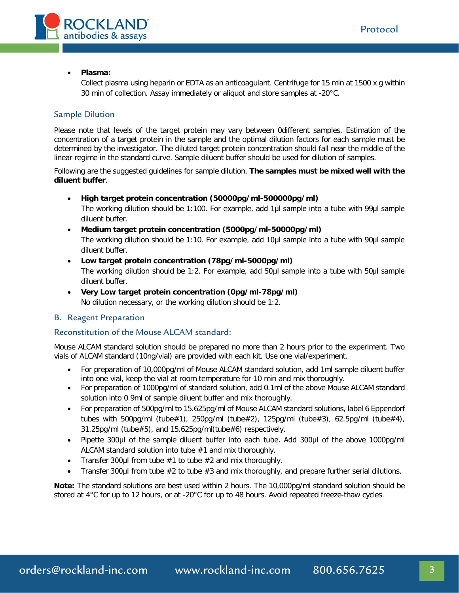

#### • **Plasma:**

Collect plasma using heparin or EDTA as an anticoagulant. Centrifuge for 15 min at 1500 x g within 30 min of collection. Assay immediately or aliquot and store samples at -20°C.

## Sample Dilution

Please note that levels of the target protein may vary between 0different samples. Estimation of the concentration of a target protein in the sample and the optimal dilution factors for each sample must be determined by the investigator. The diluted target protein concentration should fall near the middle of the linear regime in the standard curve. Sample diluent buffer should be used for dilution of samples.

Following are the suggested guidelines for sample dilution. **The samples must be mixed well with the diluent buffer**.

- **High target protein concentration (50000pg/ml-500000pg/ml)** The working dilution should be 1:100. For example, add 1μl sample into a tube with 99μl sample
	- diluent buffer.
- **Medium target protein concentration (5000pg/ml-50000pg/ml)**

The working dilution should be 1:10. For example, add 10μl sample into a tube with 90μl sample diluent buffer.

- **Low target protein concentration (78pg/ml-5000pg/ml)** The working dilution should be 1:2. For example, add 50μl sample into a tube with 50μl sample diluent buffer.
- **Very Low target protein concentration (0pg/ml-78pg/ml)** No dilution necessary, or the working dilution should be 1:2.

### B. Reagent Preparation

### Reconstitution of the Mouse ALCAM standard:

Mouse ALCAM standard solution should be prepared no more than 2 hours prior to the experiment. Two vials of ALCAM standard (10ng/vial) are provided with each kit. Use one vial/experiment.

- For preparation of 10,000pg/ml of Mouse ALCAM standard solution, add 1ml sample diluent buffer into one vial, keep the vial at room temperature for 10 min and mix thoroughly.
- For preparation of 1000pg/ml of standard solution, add 0.1ml of the above Mouse ALCAM standard solution into 0.9ml of sample diluent buffer and mix thoroughly.
- For preparation of 500pg/ml to 15.625pg/ml of Mouse ALCAM standard solutions, label 6 Eppendorf tubes with 500pg/ml (tube#1), 250pg/ml (tube#2), 125pg/ml (tube#3), 62.5pg/ml (tube#4), 31.25pg/ml (tube#5), and 15.625pg/ml(tube#6) respectively.
- Pipette 300µl of the sample diluent buffer into each tube. Add 300µl of the above 1000pg/ml ALCAM standard solution into tube #1 and mix thoroughly.
- Transfer 300 $\mu$ I from tube  $\#1$  to tube  $\#2$  and mix thoroughly.
- Transfer 300µl from tube  $#2$  to tube  $#3$  and mix thoroughly, and prepare further serial dilutions.

**Note:** The standard solutions are best used within 2 hours. The 10,000pg/ml standard solution should be stored at 4°C for up to 12 hours, or at -20°C for up to 48 hours. Avoid repeated freeze-thaw cycles.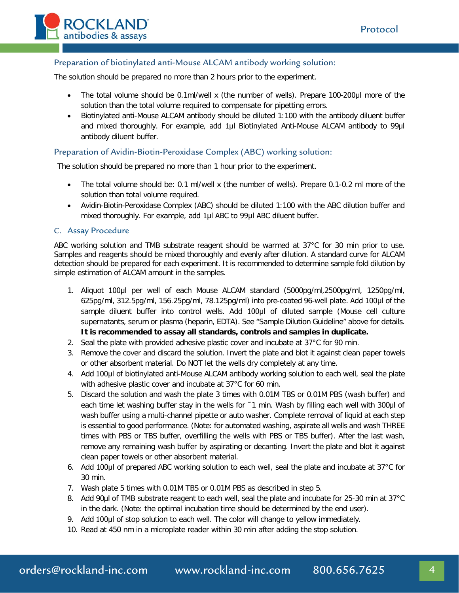

## Preparation of biotinylated anti-Mouse ALCAM antibody working solution:

The solution should be prepared no more than 2 hours prior to the experiment.

- The total volume should be 0.1ml/well x (the number of wells). Prepare 100-200μl more of the solution than the total volume required to compensate for pipetting errors.
- Biotinylated anti-Mouse ALCAM antibody should be diluted 1:100 with the antibody diluent buffer and mixed thoroughly. For example, add 1µl Biotinylated Anti-Mouse ALCAM antibody to 99µl antibody diluent buffer.

#### Preparation of Avidin-Biotin-Peroxidase Complex (ABC) working solution:

The solution should be prepared no more than 1 hour prior to the experiment.

- The total volume should be: 0.1 ml/well x (the number of wells). Prepare 0.1-0.2 ml more of the solution than total volume required.
- Avidin-Biotin-Peroxidase Complex (ABC) should be diluted 1:100 with the ABC dilution buffer and mixed thoroughly. For example, add 1μl ABC to 99μl ABC diluent buffer.

#### C. Assay Procedure

ABC working solution and TMB substrate reagent should be warmed at 37°C for 30 min prior to use. Samples and reagents should be mixed thoroughly and evenly after dilution. A standard curve for ALCAM detection should be prepared for each experiment. It is recommended to determine sample fold dilution by simple estimation of ALCAM amount in the samples.

- 1. Aliquot 100μl per well of each Mouse ALCAM standard (5000pg/ml,2500pg/ml, 1250pg/ml, 625pg/ml, 312.5pg/ml, 156.25pg/ml, 78.125pg/ml) into pre-coated 96-well plate. Add 100μl of the sample diluent buffer into control wells. Add 100µl of diluted sample (Mouse cell culture supernatants, serum or plasma (heparin, EDTA). See "Sample Dilution Guideline" above for details. **It is recommended to assay all standards, controls and samples in duplicate.**
- 2. Seal the plate with provided adhesive plastic cover and incubate at 37°C for 90 min.
- 3. Remove the cover and discard the solution. Invert the plate and blot it against clean paper towels or other absorbent material. Do NOT let the wells dry completely at any time.
- 4. Add 100μl of biotinylated anti-Mouse ALCAM antibody working solution to each well, seal the plate with adhesive plastic cover and incubate at 37°C for 60 min.
- 5. Discard the solution and wash the plate 3 times with 0.01M TBS or 0.01M PBS (wash buffer) and each time let washing buffer stay in the wells for ~1 min. Wash by filling each well with 300µl of wash buffer using a multi-channel pipette or auto washer. Complete removal of liquid at each step is essential to good performance. (Note: for automated washing, aspirate all wells and wash THREE times with PBS or TBS buffer, overfilling the wells with PBS or TBS buffer). After the last wash, remove any remaining wash buffer by aspirating or decanting. Invert the plate and blot it against clean paper towels or other absorbent material.
- 6. Add 100μl of prepared ABC working solution to each well, seal the plate and incubate at 37°C for 30 min.
- 7. Wash plate 5 times with 0.01M TBS or 0.01M PBS as described in step 5.
- 8. Add 90µl of TMB substrate reagent to each well, seal the plate and incubate for 25-30 min at 37°C in the dark. (Note: the optimal incubation time should be determined by the end user).
- 9. Add 100μl of stop solution to each well. The color will change to yellow immediately.
- 10. Read at 450 nm in a microplate reader within 30 min after adding the stop solution.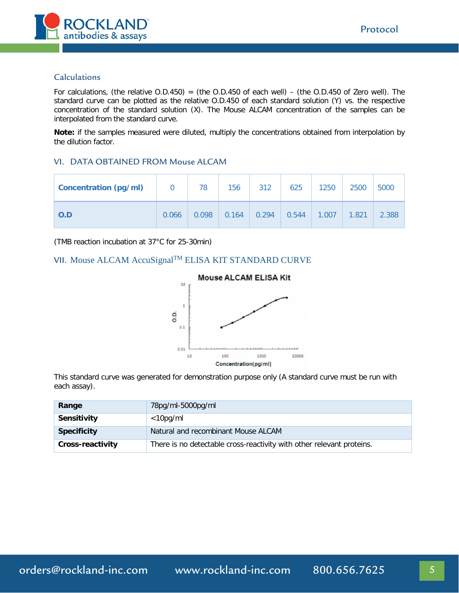

#### Calculations

For calculations, (the relative  $O.D.450$ ) = (the  $O.D.450$  of each well) – (the  $O.D.450$  of Zero well). The standard curve can be plotted as the relative O.D.450 of each standard solution (Y) vs. the respective concentration of the standard solution (X). The Mouse ALCAM concentration of the samples can be interpolated from the standard curve.

**Note:** if the samples measured were diluted, multiply the concentrations obtained from interpolation by the dilution factor.

#### VI. DATA OBTAINED FROM Mouse ALCAM

| <b>Concentration (pg/ml)</b> | $\overline{0}$ | 78    | 156   | 312   | 625   | 1250  | 2500  | 5000  |
|------------------------------|----------------|-------|-------|-------|-------|-------|-------|-------|
| O.D                          | 0.066          | 0.098 | 0.164 | 0.294 | 0.544 | 1.007 | 1.821 | 2.388 |

(TMB reaction incubation at 37°C for 25-30min)

## VII. Mouse ALCAM AccuSignal<sup>TM</sup> ELISA KIT STANDARD CURVE



This standard curve was generated for demonstration purpose only (A standard curve must be run with each assay).

| Range              | 78pg/ml-5000pg/ml                                                     |  |
|--------------------|-----------------------------------------------------------------------|--|
| Sensitivity        | $<$ 10pg/ml                                                           |  |
| <b>Specificity</b> | Natural and recombinant Mouse ALCAM                                   |  |
| Cross-reactivity   | There is no detectable cross-reactivity with other relevant proteins. |  |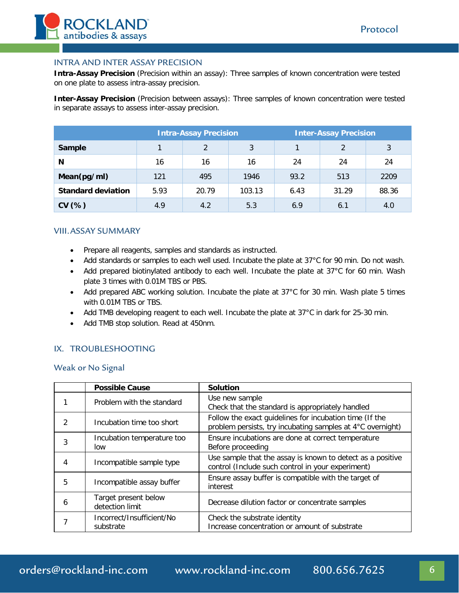

### INTRA AND INTER ASSAY PRECISION

**Intra-Assay Precision** (Precision within an assay): Three samples of known concentration were tested on one plate to assess intra-assay precision.

**Inter-Assay Precision** (Precision between assays): Three samples of known concentration were tested in separate assays to assess inter-assay precision.

|                           | <b>Intra-Assay Precision</b> |               |        | <b>Inter-Assay Precision</b> |               |       |
|---------------------------|------------------------------|---------------|--------|------------------------------|---------------|-------|
| Sample                    |                              | $\mathcal{P}$ | 3      |                              | $\mathcal{P}$ | 3     |
| N                         | 16                           | 16            | 16     | 24                           | 24            | 24    |
| Mean(pg/ml)               | 121                          | 495           | 1946   | 93.2                         | 513           | 2209  |
| <b>Standard deviation</b> | 5.93                         | 20.79         | 103.13 | 6.43                         | 31.29         | 88.36 |
| CV(%)                     | 4.9                          | 4.2           | 5.3    | 6.9                          | 6.1           | 4.0   |

#### VIII.ASSAY SUMMARY

- Prepare all reagents, samples and standards as instructed.
- Add standards or samples to each well used. Incubate the plate at 37°C for 90 min. Do not wash.
- Add prepared biotinylated antibody to each well. Incubate the plate at 37°C for 60 min. Wash plate 3 times with 0.01M TBS or PBS.
- Add prepared ABC working solution. Incubate the plate at 37°C for 30 min. Wash plate 5 times with 0.01M TBS or TBS.
- Add TMB developing reagent to each well. Incubate the plate at 37°C in dark for 25-30 min.
- Add TMB stop solution. Read at 450nm.

#### IX. TROUBLESHOOTING

Weak or No Signal

|                | <b>Possible Cause</b>                   | <b>Solution</b>                                                                                                       |
|----------------|-----------------------------------------|-----------------------------------------------------------------------------------------------------------------------|
|                | Problem with the standard               | Use new sample<br>Check that the standard is appropriately handled                                                    |
| $\mathfrak{D}$ | Incubation time too short               | Follow the exact guidelines for incubation time (If the<br>problem persists, try incubating samples at 4°C overnight) |
| 3              | Incubation temperature too<br>low       | Ensure incubations are done at correct temperature<br>Before proceeding                                               |
| 4              | Incompatible sample type                | Use sample that the assay is known to detect as a positive<br>control (Include such control in your experiment)       |
| 5              | Incompatible assay buffer               | Ensure assay buffer is compatible with the target of<br>interest                                                      |
| 6              | Target present below<br>detection limit | Decrease dilution factor or concentrate samples                                                                       |
|                | Incorrect/Insufficient/No<br>substrate  | Check the substrate identity<br>Increase concentration or amount of substrate                                         |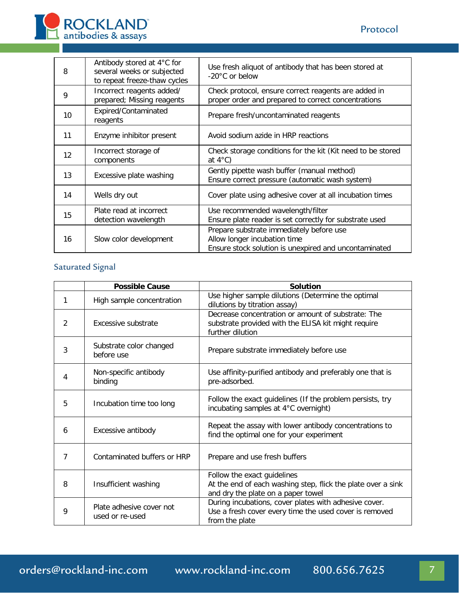

| 8  | Antibody stored at 4°C for<br>several weeks or subjected<br>to repeat freeze-thaw cycles | Use fresh aliquot of antibody that has been stored at<br>$-20^{\circ}$ C or below                                                 |
|----|------------------------------------------------------------------------------------------|-----------------------------------------------------------------------------------------------------------------------------------|
| 9  | Incorrect reagents added/<br>prepared; Missing reagents                                  | Check protocol, ensure correct reagents are added in<br>proper order and prepared to correct concentrations                       |
| 10 | Expired/Contaminated<br>reagents                                                         | Prepare fresh/uncontaminated reagents                                                                                             |
| 11 | Enzyme inhibitor present                                                                 | Avoid sodium azide in HRP reactions                                                                                               |
| 12 | Incorrect storage of<br>components                                                       | Check storage conditions for the kit (Kit need to be stored<br>at $4^{\circ}$ C)                                                  |
| 13 | Excessive plate washing                                                                  | Gently pipette wash buffer (manual method)<br>Ensure correct pressure (automatic wash system)                                     |
| 14 | Wells dry out                                                                            | Cover plate using adhesive cover at all incubation times                                                                          |
| 15 | Plate read at incorrect<br>detection wavelength                                          | Use recommended wavelength/filter<br>Ensure plate reader is set correctly for substrate used                                      |
| 16 | Slow color development                                                                   | Prepare substrate immediately before use<br>Allow longer incubation time<br>Ensure stock solution is unexpired and uncontaminated |

# Saturated Signal

|   | <b>Possible Cause</b>                       | <b>Solution</b>                                                                                                                   |
|---|---------------------------------------------|-----------------------------------------------------------------------------------------------------------------------------------|
|   | High sample concentration                   | Use higher sample dilutions (Determine the optimal<br>dilutions by titration assay)                                               |
| 2 | Excessive substrate                         | Decrease concentration or amount of substrate: The<br>substrate provided with the ELISA kit might require<br>further dilution     |
| 3 | Substrate color changed<br>before use       | Prepare substrate immediately before use                                                                                          |
| 4 | Non-specific antibody<br>binding            | Use affinity-purified antibody and preferably one that is<br>pre-adsorbed.                                                        |
| 5 | Incubation time too long                    | Follow the exact guidelines (If the problem persists, try<br>incubating samples at 4°C overnight)                                 |
| 6 | Excessive antibody                          | Repeat the assay with lower antibody concentrations to<br>find the optimal one for your experiment                                |
| 7 | Contaminated buffers or HRP                 | Prepare and use fresh buffers                                                                                                     |
| 8 | Insufficient washing                        | Follow the exact guidelines<br>At the end of each washing step, flick the plate over a sink<br>and dry the plate on a paper towel |
| 9 | Plate adhesive cover not<br>used or re-used | During incubations, cover plates with adhesive cover.<br>Use a fresh cover every time the used cover is removed<br>from the plate |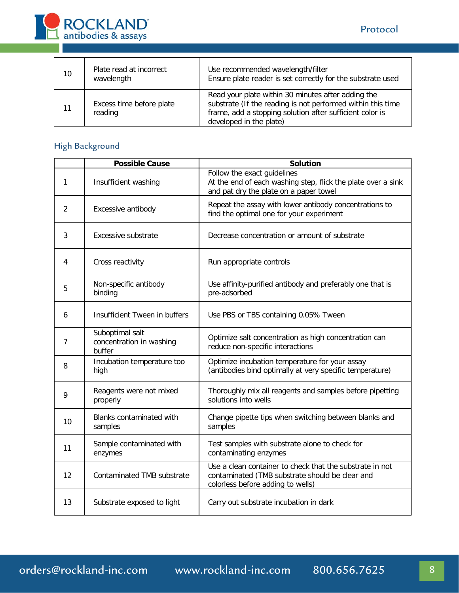

| 10 | Plate read at incorrect<br>wavelength | Use recommended wavelength/filter<br>Ensure plate reader is set correctly for the substrate used                                                                                                         |
|----|---------------------------------------|----------------------------------------------------------------------------------------------------------------------------------------------------------------------------------------------------------|
| 11 | Excess time before plate<br>reading   | Read your plate within 30 minutes after adding the<br>substrate (If the reading is not performed within this time<br>frame, add a stopping solution after sufficient color is<br>developed in the plate) |

# High Background

|                | <b>Possible Cause</b>                                 | <b>Solution</b>                                                                                                                                  |
|----------------|-------------------------------------------------------|--------------------------------------------------------------------------------------------------------------------------------------------------|
| 1              | Insufficient washing                                  | Follow the exact guidelines<br>At the end of each washing step, flick the plate over a sink<br>and pat dry the plate on a paper towel            |
| 2              | Excessive antibody                                    | Repeat the assay with lower antibody concentrations to<br>find the optimal one for your experiment                                               |
| 3              | Excessive substrate                                   | Decrease concentration or amount of substrate                                                                                                    |
| 4              | Cross reactivity                                      | Run appropriate controls                                                                                                                         |
| 5              | Non-specific antibody<br>binding                      | Use affinity-purified antibody and preferably one that is<br>pre-adsorbed                                                                        |
| 6              | Insufficient Tween in buffers                         | Use PBS or TBS containing 0.05% Tween                                                                                                            |
| $\overline{7}$ | Suboptimal salt<br>concentration in washing<br>buffer | Optimize salt concentration as high concentration can<br>reduce non-specific interactions                                                        |
| 8              | Incubation temperature too<br>high                    | Optimize incubation temperature for your assay<br>(antibodies bind optimally at very specific temperature)                                       |
| 9              | Reagents were not mixed<br>properly                   | Thoroughly mix all reagents and samples before pipetting<br>solutions into wells                                                                 |
| 10             | Blanks contaminated with<br>samples                   | Change pipette tips when switching between blanks and<br>samples                                                                                 |
| 11             | Sample contaminated with<br>enzymes                   | Test samples with substrate alone to check for<br>contaminating enzymes                                                                          |
| 12             | Contaminated TMB substrate                            | Use a clean container to check that the substrate in not<br>contaminated (TMB substrate should be clear and<br>colorless before adding to wells) |
| 13             | Substrate exposed to light                            | Carry out substrate incubation in dark                                                                                                           |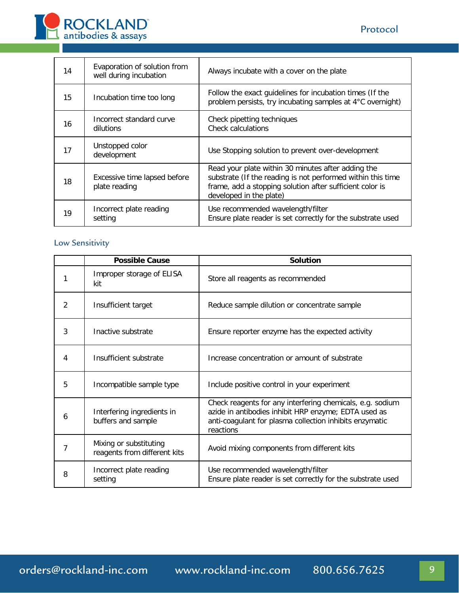



| 14 | Evaporation of solution from<br>well during incubation | Always incubate with a cover on the plate                                                                                                                                                                |
|----|--------------------------------------------------------|----------------------------------------------------------------------------------------------------------------------------------------------------------------------------------------------------------|
| 15 | Incubation time too long                               | Follow the exact guidelines for incubation times (If the<br>problem persists, try incubating samples at 4°C overnight)                                                                                   |
| 16 | Incorrect standard curve<br>dilutions                  | Check pipetting techniques<br><b>Check calculations</b>                                                                                                                                                  |
| 17 | Unstopped color<br>development                         | Use Stopping solution to prevent over-development                                                                                                                                                        |
| 18 | Excessive time lapsed before<br>plate reading          | Read your plate within 30 minutes after adding the<br>substrate (If the reading is not performed within this time<br>frame, add a stopping solution after sufficient color is<br>developed in the plate) |
| 19 | Incorrect plate reading<br>setting                     | Use recommended wavelength/filter<br>Ensure plate reader is set correctly for the substrate used                                                                                                         |

# Low Sensitivity

|   | <b>Possible Cause</b>                                  | <b>Solution</b>                                                                                                                                                                           |
|---|--------------------------------------------------------|-------------------------------------------------------------------------------------------------------------------------------------------------------------------------------------------|
| 1 | Improper storage of ELISA<br>kit                       | Store all reagents as recommended                                                                                                                                                         |
| 2 | Insufficient target                                    | Reduce sample dilution or concentrate sample                                                                                                                                              |
| 3 | Inactive substrate                                     | Ensure reporter enzyme has the expected activity                                                                                                                                          |
| 4 | Insufficient substrate                                 | Increase concentration or amount of substrate                                                                                                                                             |
| 5 | Incompatible sample type                               | Include positive control in your experiment                                                                                                                                               |
| 6 | Interfering ingredients in<br>buffers and sample       | Check reagents for any interfering chemicals, e.g. sodium<br>azide in antibodies inhibit HRP enzyme; EDTA used as<br>anti-coagulant for plasma collection inhibits enzymatic<br>reactions |
| 7 | Mixing or substituting<br>reagents from different kits | Avoid mixing components from different kits                                                                                                                                               |
| 8 | Incorrect plate reading<br>setting                     | Use recommended wavelength/filter<br>Ensure plate reader is set correctly for the substrate used                                                                                          |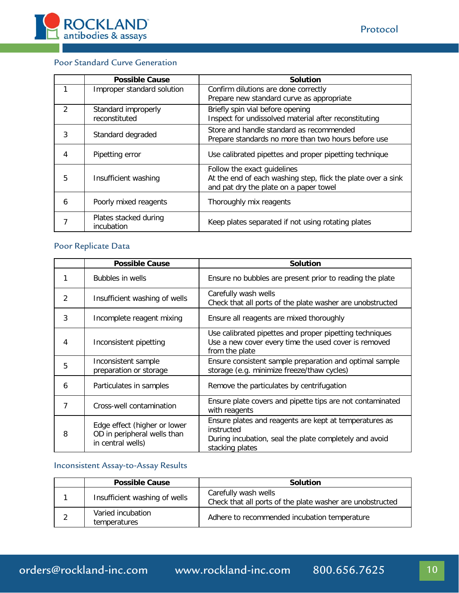

## Poor Standard Curve Generation

|                        | <b>Possible Cause</b>                               | <b>Solution</b>                                              |
|------------------------|-----------------------------------------------------|--------------------------------------------------------------|
|                        | Improper standard solution                          | Confirm dilutions are done correctly                         |
|                        |                                                     | Prepare new standard curve as appropriate                    |
| $\mathcal{P}$          | Standard improperly                                 | Briefly spin vial before opening                             |
|                        | reconstituted                                       | Inspect for undissolved material after reconstituting        |
|                        |                                                     | Store and handle standard as recommended                     |
| 3<br>Standard degraded | Prepare standards no more than two hours before use |                                                              |
|                        |                                                     |                                                              |
| 4                      | Pipetting error                                     | Use calibrated pipettes and proper pipetting technique       |
|                        |                                                     | Follow the exact guidelines                                  |
| 5                      | Insufficient washing                                | At the end of each washing step, flick the plate over a sink |
|                        |                                                     | and pat dry the plate on a paper towel                       |
| 6                      | Poorly mixed reagents                               | Thoroughly mix reagents                                      |
|                        |                                                     |                                                              |
|                        | Plates stacked during                               | Keep plates separated if not using rotating plates           |
|                        | incubation                                          |                                                              |

# Poor Replicate Data

|   | <b>Possible Cause</b>                                                            | <b>Solution</b>                                                                                                                                   |  |
|---|----------------------------------------------------------------------------------|---------------------------------------------------------------------------------------------------------------------------------------------------|--|
|   | Bubbles in wells                                                                 | Ensure no bubbles are present prior to reading the plate                                                                                          |  |
| 2 | Insufficient washing of wells                                                    | Carefully wash wells<br>Check that all ports of the plate washer are unobstructed                                                                 |  |
| 3 | Incomplete reagent mixing                                                        | Ensure all reagents are mixed thoroughly                                                                                                          |  |
| 4 | Inconsistent pipetting                                                           | Use calibrated pipettes and proper pipetting techniques<br>Use a new cover every time the used cover is removed<br>from the plate                 |  |
| 5 | Inconsistent sample<br>preparation or storage                                    | Ensure consistent sample preparation and optimal sample<br>storage (e.g. minimize freeze/thaw cycles)                                             |  |
| 6 | Particulates in samples                                                          | Remove the particulates by centrifugation                                                                                                         |  |
|   | Cross-well contamination                                                         | Ensure plate covers and pipette tips are not contaminated<br>with reagents                                                                        |  |
| 8 | Edge effect (higher or lower<br>OD in peripheral wells than<br>in central wells) | Ensure plates and reagents are kept at temperatures as<br>instructed<br>During incubation, seal the plate completely and avoid<br>stacking plates |  |

## Inconsistent Assay-to-Assay Results

| <b>Possible Cause</b>             | <b>Solution</b>                                                                   |  |
|-----------------------------------|-----------------------------------------------------------------------------------|--|
| Insufficient washing of wells     | Carefully wash wells<br>Check that all ports of the plate washer are unobstructed |  |
| Varied incubation<br>temperatures | Adhere to recommended incubation temperature                                      |  |